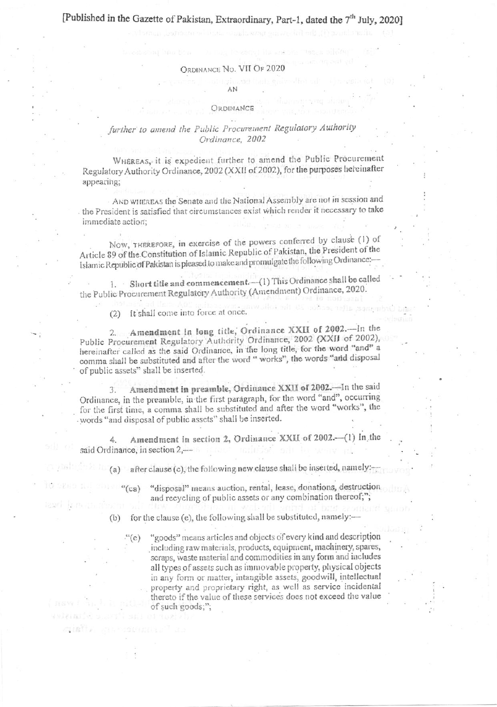## [Published in the Gazette of Pakistan, Extraordinary, Part-1, dated the 7<sup>th</sup> July, 2020]

#### ORDINANCE No. VII OF 2020

## AN

#### **ORDINANCE**

### further to amend the Public Procurement Regulatory Authority Ordinance, 2002

WHEREAS, it is expedient further to amend the Public Procurement Regulatory Authority Ordinance, 2002 (XXII of 2002), for the purposes hereinafter appearing:

AND WHEREAS the Senate and the National Assembly are not in session and the President is satisfied that circumstances exist which render it necessary to take immediate action;

Now, THEREFORE, in exercise of the powers conferred by clause (1) of Article 89 of the Constitution of Islamic Republic of Pakistan, the President of the Islamic Republic of Pakistan is pleased to make and promulgate the following Ordinance:-

1. Short title and commencement. (1) This Ordinance shall be called the Public Procurement Regulatory Authority (Amendment) Ordinance, 2020.

(2) It shall come into force at once.

2. Amendment in long title, Ordinance XXII of 2002.-In the Public Procurement Regulatory Authority Ordinance, 2002 (XXII of 2002), hereinafter called as the said Ordinance, in the long title, for the word "and" a comma shall be substituted and after the word " works", the words "and disposal of public assets" shall be inserted.

Amendment in preamble, Ordinance XXII of 2002. - In the said  $\mathcal{F}$ Ordinance, in the preamble, in the first paragraph, for the word "and", occurring for the first time, a comma shall be substituted and after the word "works", the words "and disposal of public assets" shall be inserted.

Amendment in section 2, Ordinance XXII of 2002.-(1) In the Δ. said Ordinance, in section 2,-

after clause (c), the following new clause shall be inserted, namely:

"disposal" means auction, rental, lease, donations, destruction  $(ca)$ and recycling of public assets or any combination thereof;";

for the clause (e), the following shall be substituted, namely:- $(b)$ 

> "goods" means articles and objects of every kind and description including raw materials, products, equipment, machinery, spares, scraps, waste material and commodities in any form and includes all types of assets such as immovable property, physical objects in any form or matter, intangible assets, goodwill, intellectual property and proprietary right, as well as service incidental thereto if the value of these services does not exceed the value of such goods;";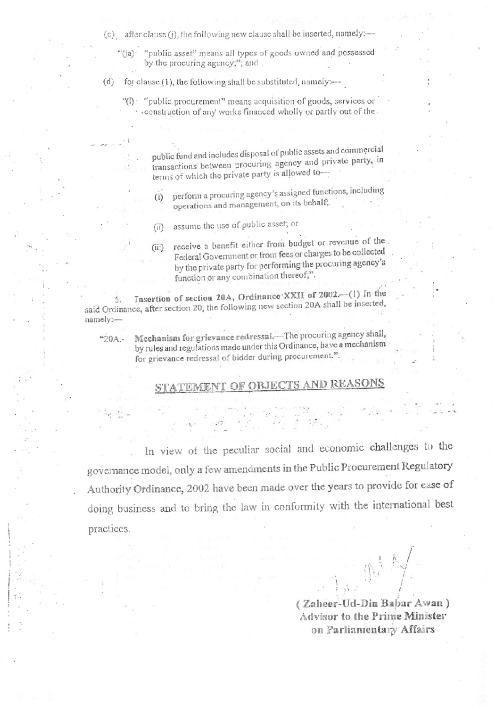- (c) after clause (j), the following new clause shall be inserted, namely:-
	- "public asset" means all types of goods owned and possessed  $\sqrt[4\pi]{(a)}$ by the procuring agency;"; and.
- for clause (1), the following shall be substituted, namely:--- $(d)$ 
	- "(I) "public procurement" means acquisition of goods, services or construction of any works financed wholly or partly out of the

public fund and includes disposal of public assets and commercial transactions between procuring agency and private party, in terms of which the private party is allowed to-

- perform a procuring agency's assigned functions, including  $(i)$ operations and management, on its behalf;
- assume the use of public asset; or  $(i)$
- receive a benefit either from budget or revenue of the  $(iii)$ Federal Government or from fees or charges to be collected by the private party for performing the procuring agency's function or any combination thereof;".

Insertion of section 20A, Ordinance XXII of 2002.-(1) In the 5. said Ordinance, after section 20, the following new section 20A shall be inserted, namely:-

 $420A -$ 

Mechanism for grievance redressal.-The procuring agency shall, by rules and regulations made under this Ordinance, have a mechanism for grievance redressal of bidder during procurement.".

## ND REASONS

In view of the peculiar social and economic challenges to the governance model, only a few amendments in the Public Procurement Regulatory Authority Ordinance, 2002 have been made over the years to provide for ease of doing business and to bring the law in conformity with the international best practices.

(Zaheer-Ud-Din Babar Awan) Advisor to the Prime Minister on Parliamentary Affairs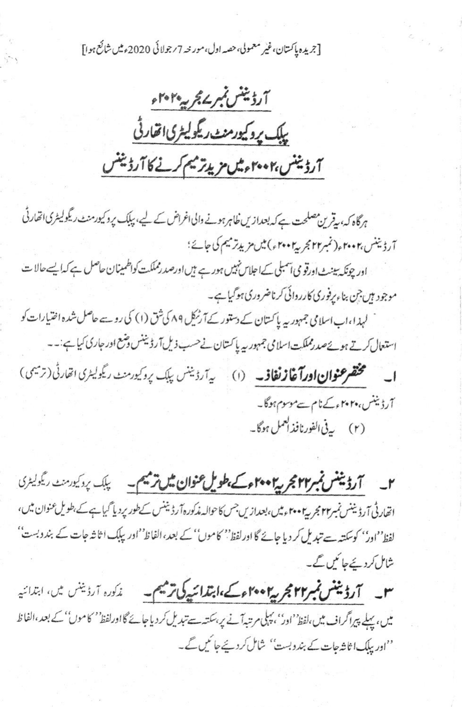[جريده پاکستان،غير معمولي،حصه اول،مورنته 7/جولائي 2020ء ميں شائع ہوا]

آرڈینٹس بمبر یم بج پیم ہوا۔ پلک پروکیورمنٹ ریگولیٹری اتفارٹی آرۇينىس،٢٠٠٢ مەمىل مۇيلەتەسىم كەنجا كاترۇينىس

ہرگاہ کہ، یقرین مصلحت ہے کہ بعدازیں خاہرہونے والی اغراض کے لیے، پبک پروکیورمنٹ ریگولیٹری اتھارٹی آرڈیننس،۲۰۰۲ء(نمبر۲۲ مجربی<sup>4</sup>۲۰۰۲ء) میں مزید ترمیم کی جائے؛ اور چونکہ بینٹ اورقو می آمبلی کےاحلاس نہیں ہور ہے ہیں اورصد رمملکت کواظمینان حاصل ہے کہ ایسے حالا ت موجود ہیں جن بناء پرفوری کارروائی کرناضروری ہوگیاہے۔ لہذا،اب اسلامی جمہوریہ پاکستان کے دستور کے آرٹیکل ۸۹ کی شق (۱) کی روسے حاصل شدہ اختیارات کو استعال کرتے ہوئےصدرمملکت اسلامی جمہوریہ پاکستان نے حسب ذیل آرڈیننس وشع اور جاری کیا ہے:۔۔ ا۔ مختصر عنوان اورآغاز نغاف۔ (۱) یہ آرڈینس پاک پروکیورمنٹ ریگولیٹری اتحارٹی (ترمیمی) آرڈیننس، ۲۰۲<sub>۴ء</sub>کےنام سے موسوم ہوگا۔ (۲) ی<sup>فی ا</sup>لفورنافذ ک<sup>عمل</sup> ہوگا۔

۲\_ آرڈینٹس نمبر۲۴ مجر پی ۲۰۰۲ء کے بطویل عنوان ش ترجیم۔ پلک پردکیورسٹ ریگولیٹری اتھارٹی آرڈیننس نمبر۲۲ مجریہ ۲۰۰۲ءمیں،بعدازیں جس کا حوالہ مٰدکورہ آرڈیننس کےطور پردیا گیاہے کے،طویل عنوان میں، لفظ''ادر'' کوسکتہ سے تبدیل کر دیا جائے گا اور لفظ'' کاموں'' کے بعد، الفاظ''اور پبلک ا ثاثہ جات کے بندوبست'' شامل کردیئے جا کیں گے۔

سو سے **آرڈیننس نمبر۲۲ مجریہ ۲۰۰۶ء کے ،ابتدائیہ کی ترمیم۔** غلورہ آرڈینس میں، ابتدائیہ میں، پہلے پیراگراف میں،لفظ''ادر''، پہلی مرتبہآنے پر،سکتہ سے تبدیل کر دیا جائے گااورلفظ'' کاموں'' کے بعد،الفاظ ''اور پبلک اثاثہ جات کے بندوبست'' شال کردیجے جا کیں گے۔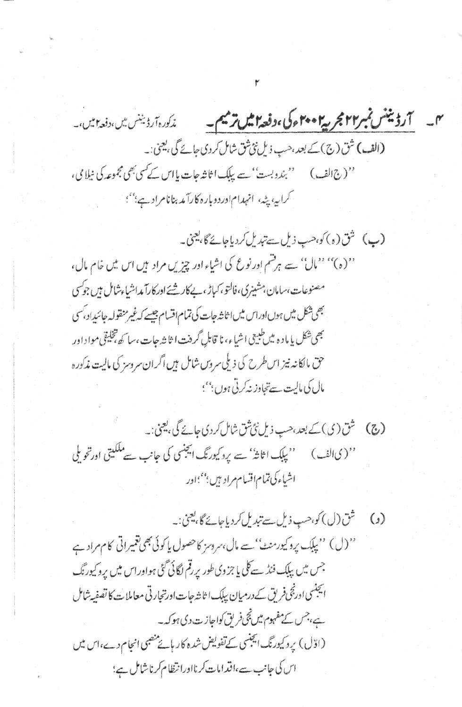میں آرڈیننس نمبر۲۴ مجر پی<sup>4</sup>۴۰۲ ک<sup>ی</sup> ،دفعہ ایس ترمیم۔ ن*زکورہ آرڈیننس میں،دفعہ ای*ں،۔ (الف) شق(ج) کے بعد، حب ذیل نئی شق شامل کردی جائے گی، یعنی:۔ '' (ج الف) ''بندوبست'' سے بیک اثاثہ جات پااس کے کسی بھی مجموعہ کی نیلا می، کرایه، پنه، انهدام اوردوباره کارآمد بنانامرادی؛''؛

(پ) شق(ه) کو،حب ذیل سے تبدیل کردیاجائے گا، یعنی۔ ''(ه)'' ''مال'' سے ہر قسم اور نوع کی اشیاء اور چیزیں مراد ہیں اس میں خام مال، مصنوعات،سامان،شینری،فالتو،کہاڑ،۔پلاکارشئے ادرکارآ مداشیاءشامل ہیں جوکسی بھی شکل میں ہوں ادراس میں اثاثہ جات کی تمام اقسام جیسے کہ غیر منقولہ جائیداد، کسی بھی شکل پا ماد ہ میں طبیعی اشیاء، نا قابل گردنت ا ثا ش*ہ جات ،سا کھ ت*خلیقی مواداور حق مالکانه نیز اس طرح کی ذیلی سروس شامل ہیں اگران سروسز کی مالیت مذکورہ مال کی مالیت سےتجاوز نہ کرتی ہوں بین ہ

(ج) شن (ی) کے بعد، حب ذیل نی شن شامل کردی جائے گی، یعنی:۔ ''(یالف) ''بېلک اثاثہُ' سے پردکیورنگ ایجنسی کی جانب سے ملکیتی اورتحویلی اشياءكى تمام اقسام مراديين بمعجماور

'' (ل) '' بِبَلَك پروکیورمنٹ'' سے مال،سروسز کاحصول یا کوئی بھی تقییراتی کام مراد ہے جس میں بیک فنڈ سے کلی یا جزوی طور پر قم لگائی گئی ہواوراس میں پروکیورنگ انچنسی ادرنجی فریق کے درمیان بیلک اثاثہ جات اورتجارتی معاملات کا تصفیہ شامل ہے، جس کے مفہوم میں نجی فریق کواجازت دی ہو کہ۔ (اوّل) پروکیورنگ ایجنسی کےتفویض شدہ کار بائے منصبی انجام دے،اس میں اس کی جانب سے،اقدامات کرنااورانتظام کرناشامل ہے؛